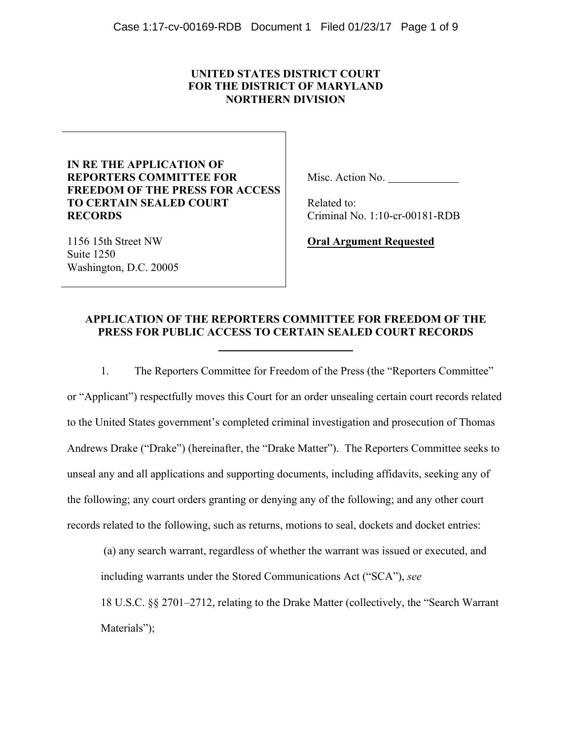# **UNITED STATES DISTRICT COURT FOR THE DISTRICT OF MARYLAND NORTHERN DIVISION**

# **IN RE THE APPLICATION OF REPORTERS COMMITTEE FOR FREEDOM OF THE PRESS FOR ACCESS TO CERTAIN SEALED COURT RECORDS**

Misc. Action No.

 Related to: Criminal No. 1:10-cr-00181-RDB

1156 15th Street NW Suite 1250 Washington, D.C. 20005 **Oral Argument Requested**

# **APPLICATION OF THE REPORTERS COMMITTEE FOR FREEDOM OF THE PRESS FOR PUBLIC ACCESS TO CERTAIN SEALED COURT RECORDS**

1. The Reporters Committee for Freedom of the Press (the "Reporters Committee" or "Applicant") respectfully moves this Court for an order unsealing certain court records related to the United States government's completed criminal investigation and prosecution of Thomas Andrews Drake ("Drake") (hereinafter, the "Drake Matter"). The Reporters Committee seeks to unseal any and all applications and supporting documents, including affidavits, seeking any of the following; any court orders granting or denying any of the following; and any other court records related to the following, such as returns, motions to seal, dockets and docket entries:

(a) any search warrant, regardless of whether the warrant was issued or executed, and including warrants under the Stored Communications Act ("SCA"), *see*

18 U.S.C. §§ 2701–2712, relating to the Drake Matter (collectively, the "Search Warrant Materials");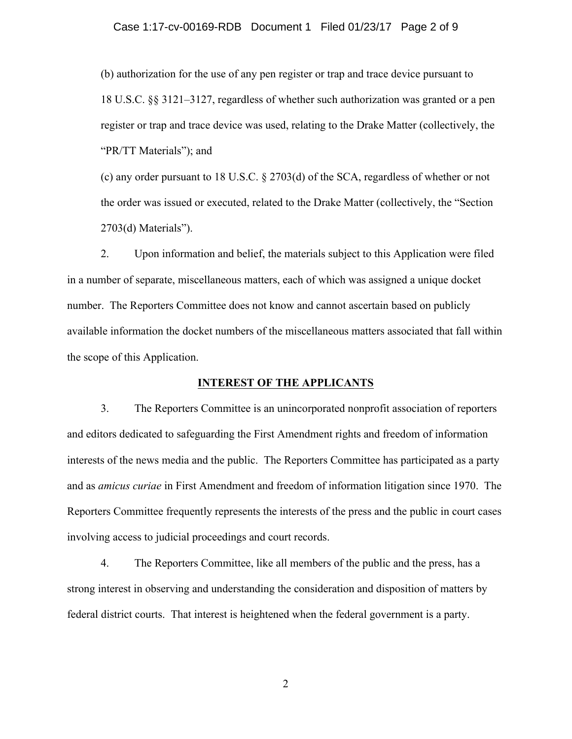#### Case 1:17-cv-00169-RDB Document 1 Filed 01/23/17 Page 2 of 9

(b) authorization for the use of any pen register or trap and trace device pursuant to 18 U.S.C. §§ 3121–3127, regardless of whether such authorization was granted or a pen register or trap and trace device was used, relating to the Drake Matter (collectively, the "PR/TT Materials"); and

(c) any order pursuant to 18 U.S.C. § 2703(d) of the SCA, regardless of whether or not the order was issued or executed, related to the Drake Matter (collectively, the "Section 2703(d) Materials").

2. Upon information and belief, the materials subject to this Application were filed in a number of separate, miscellaneous matters, each of which was assigned a unique docket number. The Reporters Committee does not know and cannot ascertain based on publicly available information the docket numbers of the miscellaneous matters associated that fall within the scope of this Application.

# **INTEREST OF THE APPLICANTS**

3. The Reporters Committee is an unincorporated nonprofit association of reporters and editors dedicated to safeguarding the First Amendment rights and freedom of information interests of the news media and the public. The Reporters Committee has participated as a party and as *amicus curiae* in First Amendment and freedom of information litigation since 1970. The Reporters Committee frequently represents the interests of the press and the public in court cases involving access to judicial proceedings and court records.

4. The Reporters Committee, like all members of the public and the press, has a strong interest in observing and understanding the consideration and disposition of matters by federal district courts. That interest is heightened when the federal government is a party.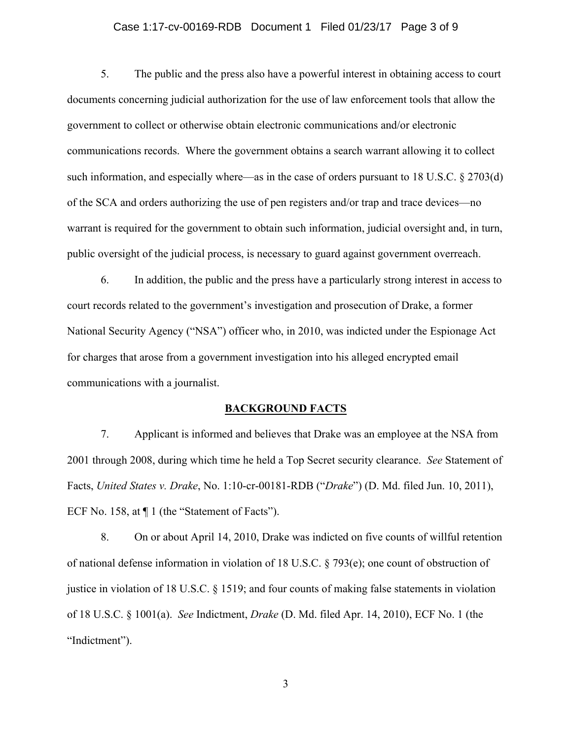## Case 1:17-cv-00169-RDB Document 1 Filed 01/23/17 Page 3 of 9

5. The public and the press also have a powerful interest in obtaining access to court documents concerning judicial authorization for the use of law enforcement tools that allow the government to collect or otherwise obtain electronic communications and/or electronic communications records. Where the government obtains a search warrant allowing it to collect such information, and especially where—as in the case of orders pursuant to 18 U.S.C. § 2703(d) of the SCA and orders authorizing the use of pen registers and/or trap and trace devices—no warrant is required for the government to obtain such information, judicial oversight and, in turn, public oversight of the judicial process, is necessary to guard against government overreach.

6. In addition, the public and the press have a particularly strong interest in access to court records related to the government's investigation and prosecution of Drake, a former National Security Agency ("NSA") officer who, in 2010, was indicted under the Espionage Act for charges that arose from a government investigation into his alleged encrypted email communications with a journalist.

#### **BACKGROUND FACTS**

7. Applicant is informed and believes that Drake was an employee at the NSA from 2001 through 2008, during which time he held a Top Secret security clearance. *See* Statement of Facts, *United States v. Drake*, No. 1:10-cr-00181-RDB ("*Drake*") (D. Md. filed Jun. 10, 2011), ECF No. 158, at  $\P$  1 (the "Statement of Facts").

8. On or about April 14, 2010, Drake was indicted on five counts of willful retention of national defense information in violation of 18 U.S.C. § 793(e); one count of obstruction of justice in violation of 18 U.S.C. § 1519; and four counts of making false statements in violation of 18 U.S.C. § 1001(a). *See* Indictment, *Drake* (D. Md. filed Apr. 14, 2010), ECF No. 1 (the "Indictment").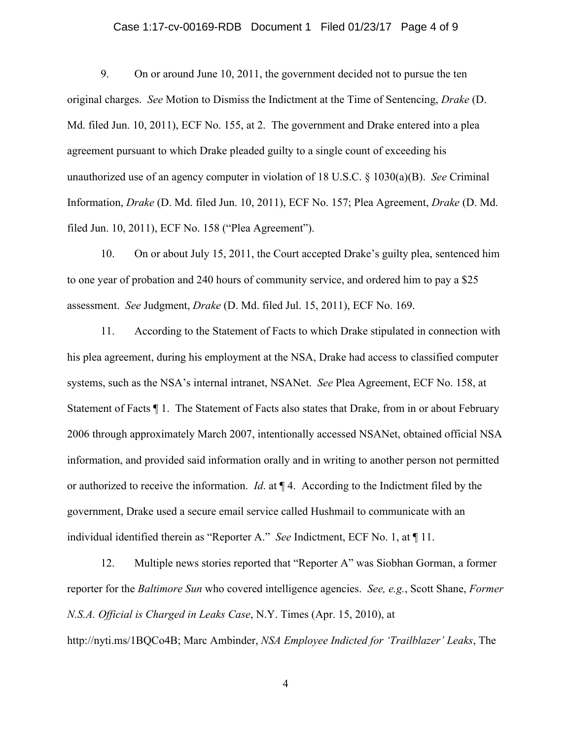## Case 1:17-cv-00169-RDB Document 1 Filed 01/23/17 Page 4 of 9

9. On or around June 10, 2011, the government decided not to pursue the ten original charges. *See* Motion to Dismiss the Indictment at the Time of Sentencing, *Drake* (D. Md. filed Jun. 10, 2011), ECF No. 155, at 2. The government and Drake entered into a plea agreement pursuant to which Drake pleaded guilty to a single count of exceeding his unauthorized use of an agency computer in violation of 18 U.S.C. § 1030(a)(B). *See* Criminal Information, *Drake* (D. Md. filed Jun. 10, 2011), ECF No. 157; Plea Agreement, *Drake* (D. Md. filed Jun. 10, 2011), ECF No. 158 ("Plea Agreement").

10. On or about July 15, 2011, the Court accepted Drake's guilty plea, sentenced him to one year of probation and 240 hours of community service, and ordered him to pay a \$25 assessment. *See* Judgment, *Drake* (D. Md. filed Jul. 15, 2011), ECF No. 169.

11. According to the Statement of Facts to which Drake stipulated in connection with his plea agreement, during his employment at the NSA, Drake had access to classified computer systems, such as the NSA's internal intranet, NSANet. *See* Plea Agreement, ECF No. 158, at Statement of Facts ¶ 1. The Statement of Facts also states that Drake, from in or about February 2006 through approximately March 2007, intentionally accessed NSANet, obtained official NSA information, and provided said information orally and in writing to another person not permitted or authorized to receive the information. *Id*. at ¶ 4. According to the Indictment filed by the government, Drake used a secure email service called Hushmail to communicate with an individual identified therein as "Reporter A." *See* Indictment, ECF No. 1, at ¶ 11.

12. Multiple news stories reported that "Reporter A" was Siobhan Gorman, a former reporter for the *Baltimore Sun* who covered intelligence agencies. *See, e.g.*, Scott Shane, *Former N.S.A. Official is Charged in Leaks Case*, N.Y. Times (Apr. 15, 2010), at http://nyti.ms/1BQCo4B; Marc Ambinder, *NSA Employee Indicted for 'Trailblazer' Leaks*, The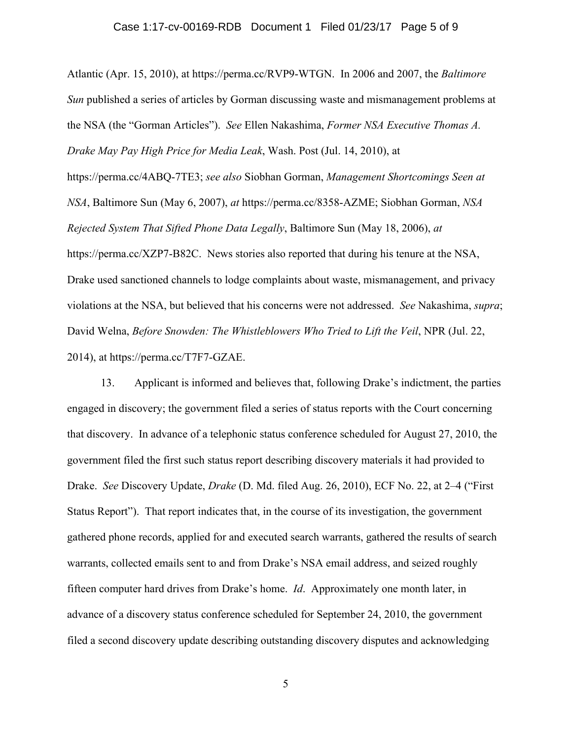#### Case 1:17-cv-00169-RDB Document 1 Filed 01/23/17 Page 5 of 9

Atlantic (Apr. 15, 2010), at https://perma.cc/RVP9-WTGN. In 2006 and 2007, the *Baltimore Sun* published a series of articles by Gorman discussing waste and mismanagement problems at the NSA (the "Gorman Articles"). *See* Ellen Nakashima, *Former NSA Executive Thomas A. Drake May Pay High Price for Media Leak*, Wash. Post (Jul. 14, 2010), at https://perma.cc/4ABQ-7TE3; *see also* Siobhan Gorman, *Management Shortcomings Seen at NSA*, Baltimore Sun (May 6, 2007), *at* https://perma.cc/8358-AZME; Siobhan Gorman, *NSA Rejected System That Sifted Phone Data Legally*, Baltimore Sun (May 18, 2006), *at* https://perma.cc/XZP7-B82C. News stories also reported that during his tenure at the NSA, Drake used sanctioned channels to lodge complaints about waste, mismanagement, and privacy violations at the NSA, but believed that his concerns were not addressed. *See* Nakashima, *supra*; David Welna, *Before Snowden: The Whistleblowers Who Tried to Lift the Veil*, NPR (Jul. 22, 2014), at https://perma.cc/T7F7-GZAE.

13. Applicant is informed and believes that, following Drake's indictment, the parties engaged in discovery; the government filed a series of status reports with the Court concerning that discovery. In advance of a telephonic status conference scheduled for August 27, 2010, the government filed the first such status report describing discovery materials it had provided to Drake. *See* Discovery Update, *Drake* (D. Md. filed Aug. 26, 2010), ECF No. 22, at 2–4 ("First Status Report"). That report indicates that, in the course of its investigation, the government gathered phone records, applied for and executed search warrants, gathered the results of search warrants, collected emails sent to and from Drake's NSA email address, and seized roughly fifteen computer hard drives from Drake's home. *Id*. Approximately one month later, in advance of a discovery status conference scheduled for September 24, 2010, the government filed a second discovery update describing outstanding discovery disputes and acknowledging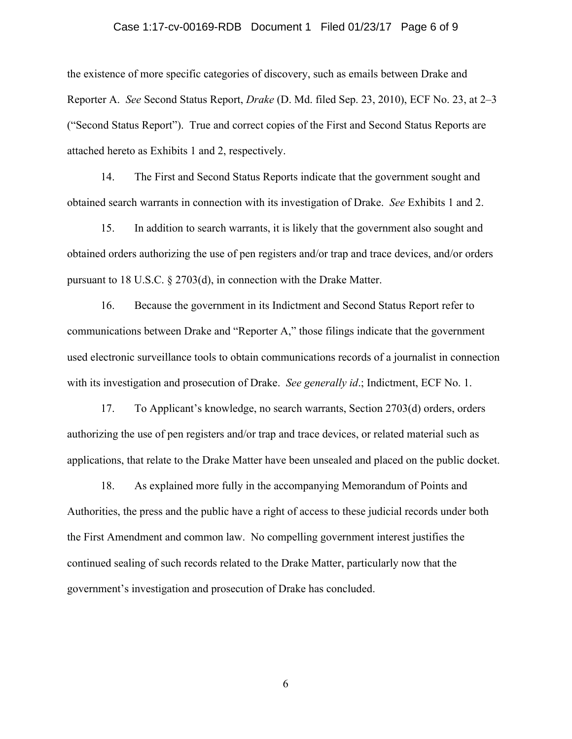#### Case 1:17-cv-00169-RDB Document 1 Filed 01/23/17 Page 6 of 9

the existence of more specific categories of discovery, such as emails between Drake and Reporter A. *See* Second Status Report, *Drake* (D. Md. filed Sep. 23, 2010), ECF No. 23, at 2–3 ("Second Status Report"). True and correct copies of the First and Second Status Reports are attached hereto as Exhibits 1 and 2, respectively.

14. The First and Second Status Reports indicate that the government sought and obtained search warrants in connection with its investigation of Drake. *See* Exhibits 1 and 2.

15. In addition to search warrants, it is likely that the government also sought and obtained orders authorizing the use of pen registers and/or trap and trace devices, and/or orders pursuant to 18 U.S.C. § 2703(d), in connection with the Drake Matter.

16. Because the government in its Indictment and Second Status Report refer to communications between Drake and "Reporter A," those filings indicate that the government used electronic surveillance tools to obtain communications records of a journalist in connection with its investigation and prosecution of Drake. *See generally id*.; Indictment, ECF No. 1.

17. To Applicant's knowledge, no search warrants, Section 2703(d) orders, orders authorizing the use of pen registers and/or trap and trace devices, or related material such as applications, that relate to the Drake Matter have been unsealed and placed on the public docket.

18. As explained more fully in the accompanying Memorandum of Points and Authorities, the press and the public have a right of access to these judicial records under both the First Amendment and common law. No compelling government interest justifies the continued sealing of such records related to the Drake Matter, particularly now that the government's investigation and prosecution of Drake has concluded.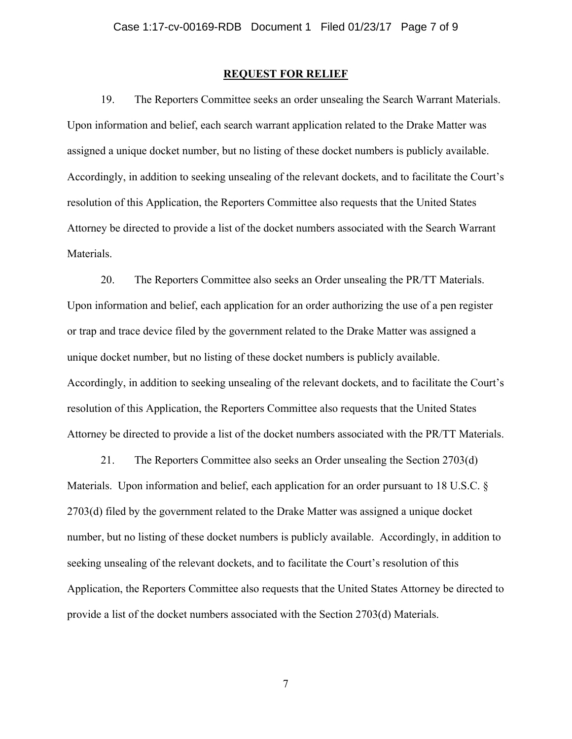#### **REQUEST FOR RELIEF**

19. The Reporters Committee seeks an order unsealing the Search Warrant Materials. Upon information and belief, each search warrant application related to the Drake Matter was assigned a unique docket number, but no listing of these docket numbers is publicly available. Accordingly, in addition to seeking unsealing of the relevant dockets, and to facilitate the Court's resolution of this Application, the Reporters Committee also requests that the United States Attorney be directed to provide a list of the docket numbers associated with the Search Warrant Materials.

20. The Reporters Committee also seeks an Order unsealing the PR/TT Materials. Upon information and belief, each application for an order authorizing the use of a pen register or trap and trace device filed by the government related to the Drake Matter was assigned a unique docket number, but no listing of these docket numbers is publicly available. Accordingly, in addition to seeking unsealing of the relevant dockets, and to facilitate the Court's resolution of this Application, the Reporters Committee also requests that the United States Attorney be directed to provide a list of the docket numbers associated with the PR/TT Materials.

21. The Reporters Committee also seeks an Order unsealing the Section 2703(d) Materials. Upon information and belief, each application for an order pursuant to 18 U.S.C. § 2703(d) filed by the government related to the Drake Matter was assigned a unique docket number, but no listing of these docket numbers is publicly available. Accordingly, in addition to seeking unsealing of the relevant dockets, and to facilitate the Court's resolution of this Application, the Reporters Committee also requests that the United States Attorney be directed to provide a list of the docket numbers associated with the Section 2703(d) Materials.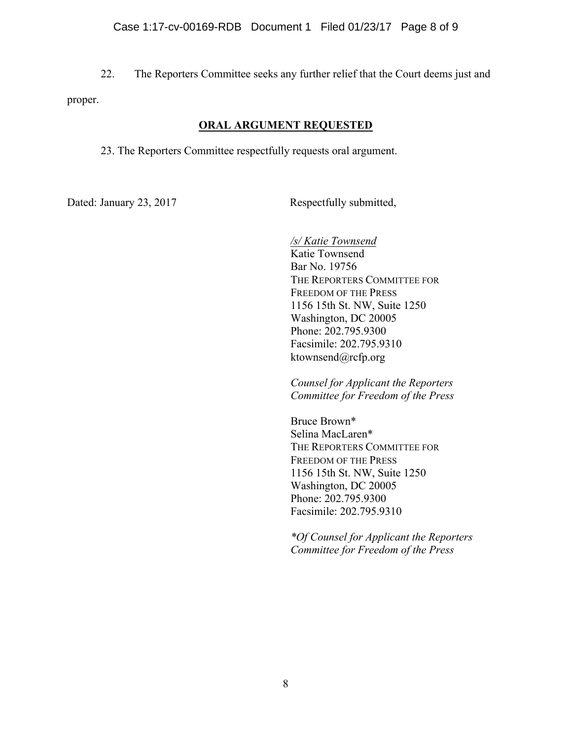22. The Reporters Committee seeks any further relief that the Court deems just and proper.

# **ORAL ARGUMENT REQUESTED**

23. The Reporters Committee respectfully requests oral argument.

Dated: January 23, 2017 Respectfully submitted,

*/s/ Katie Townsend*  Katie Townsend Bar No. 19756 THE REPORTERS COMMITTEE FOR FREEDOM OF THE PRESS 1156 15th St. NW, Suite 1250 Washington, DC 20005 Phone: 202.795.9300 Facsimile: 202.795.9310 ktownsend@rcfp.org

*Counsel for Applicant the Reporters Committee for Freedom of the Press*

Bruce Brown\* Selina MacLaren\* THE REPORTERS COMMITTEE FOR FREEDOM OF THE PRESS 1156 15th St. NW, Suite 1250 Washington, DC 20005 Phone: 202.795.9300 Facsimile: 202.795.9310

*\*Of Counsel for Applicant the Reporters Committee for Freedom of the Press*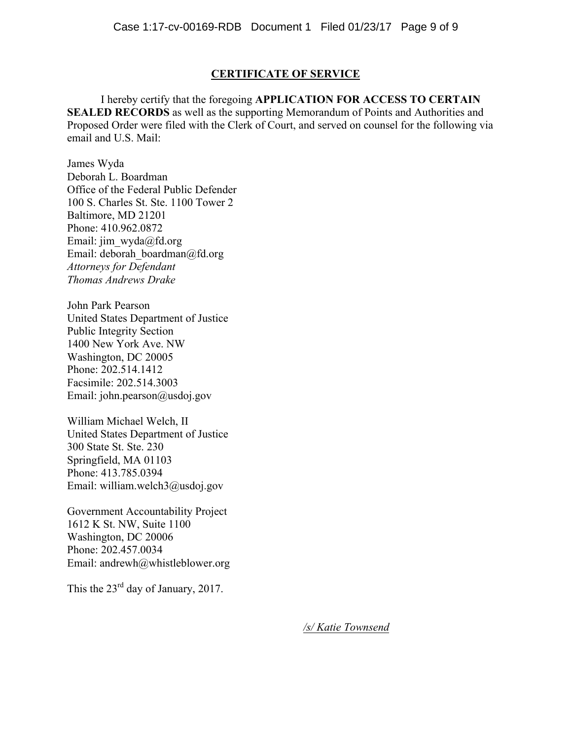## **CERTIFICATE OF SERVICE**

I hereby certify that the foregoing **APPLICATION FOR ACCESS TO CERTAIN SEALED RECORDS** as well as the supporting Memorandum of Points and Authorities and Proposed Order were filed with the Clerk of Court, and served on counsel for the following via email and U.S. Mail:

James Wyda Deborah L. Boardman Office of the Federal Public Defender 100 S. Charles St. Ste. 1100 Tower 2 Baltimore, MD 21201 Phone: 410.962.0872 Email: jim\_wyda@fd.org Email: deborah\_boardman@fd.org *Attorneys for Defendant Thomas Andrews Drake*

John Park Pearson United States Department of Justice Public Integrity Section 1400 New York Ave. NW Washington, DC 20005 Phone: 202.514.1412 Facsimile: 202.514.3003 Email: john.pearson@usdoj.gov

William Michael Welch, II United States Department of Justice 300 State St. Ste. 230 Springfield, MA 01103 Phone: 413.785.0394 Email: william.welch3@usdoj.gov

Government Accountability Project 1612 K St. NW, Suite 1100 Washington, DC 20006 Phone: 202.457.0034 Email: andrewh@whistleblower.org

This the  $23<sup>rd</sup>$  day of January, 2017.

*/s/ Katie Townsend*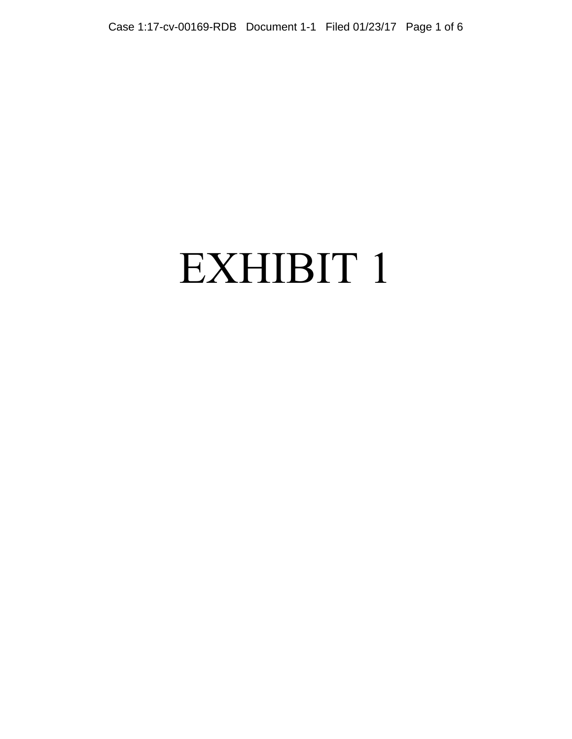# EXHIBIT 1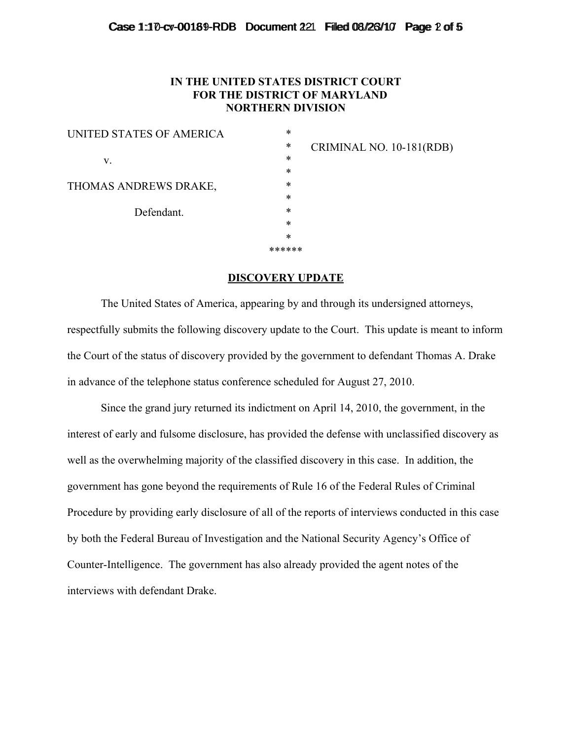## Case  $1:10$ -cv-00189-RDB Document  $221$  Filled 08/26/10 Page 2 of 5

# **IN THE UNITED STATES DISTRICT COURT FOR THE DISTRICT OF MARYLAND NORTHERN DIVISION**

| UNITED STATES OF AMERICA | *      |
|--------------------------|--------|
|                          | *      |
| V.                       | *      |
|                          | *      |
| THOMAS ANDREWS DRAKE,    | *      |
|                          | $\ast$ |
| Defendant.               | *      |
|                          | *      |
|                          | *      |
|                          | ****** |

CRIMINAL NO. 10-181(RDB)

# **DISCOVERY UPDATE**

The United States of America, appearing by and through its undersigned attorneys, respectfully submits the following discovery update to the Court. This update is meant to inform the Court of the status of discovery provided by the government to defendant Thomas A. Drake in advance of the telephone status conference scheduled for August 27, 2010.

Since the grand jury returned its indictment on April 14, 2010, the government, in the interest of early and fulsome disclosure, has provided the defense with unclassified discovery as well as the overwhelming majority of the classified discovery in this case. In addition, the government has gone beyond the requirements of Rule 16 of the Federal Rules of Criminal Procedure by providing early disclosure of all of the reports of interviews conducted in this case by both the Federal Bureau of Investigation and the National Security Agency's Office of Counter-Intelligence. The government has also already provided the agent notes of the interviews with defendant Drake.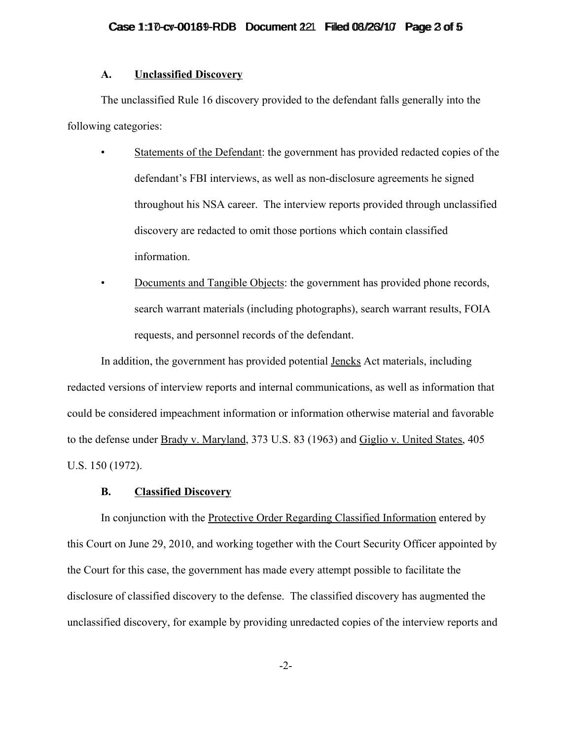#### **A. Unclassified Discovery**

The unclassified Rule 16 discovery provided to the defendant falls generally into the following categories:

- Statements of the Defendant: the government has provided redacted copies of the defendant's FBI interviews, as well as non-disclosure agreements he signed throughout his NSA career. The interview reports provided through unclassified discovery are redacted to omit those portions which contain classified information.
- Documents and Tangible Objects: the government has provided phone records, search warrant materials (including photographs), search warrant results, FOIA requests, and personnel records of the defendant.

In addition, the government has provided potential Jencks Act materials, including redacted versions of interview reports and internal communications, as well as information that could be considered impeachment information or information otherwise material and favorable to the defense under Brady v. Maryland, 373 U.S. 83 (1963) and Giglio v. United States, 405 U.S. 150 (1972).

## **B. Classified Discovery**

In conjunction with the Protective Order Regarding Classified Information entered by this Court on June 29, 2010, and working together with the Court Security Officer appointed by the Court for this case, the government has made every attempt possible to facilitate the disclosure of classified discovery to the defense. The classified discovery has augmented the unclassified discovery, for example by providing unredacted copies of the interview reports and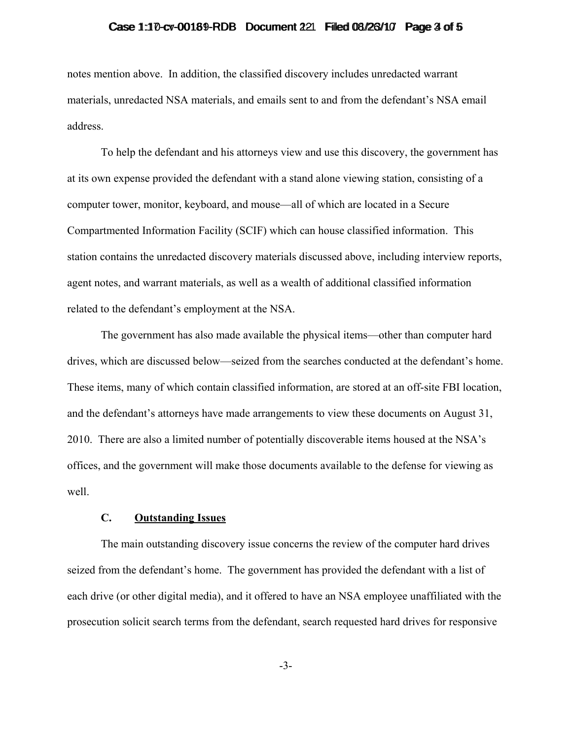# Case  $1:10$ -cv-00189-RDB Document  $221$  Filled 08/26/10 Page  $3$  of 5

notes mention above. In addition, the classified discovery includes unredacted warrant materials, unredacted NSA materials, and emails sent to and from the defendant's NSA email address.

To help the defendant and his attorneys view and use this discovery, the government has at its own expense provided the defendant with a stand alone viewing station, consisting of a computer tower, monitor, keyboard, and mouse—all of which are located in a Secure Compartmented Information Facility (SCIF) which can house classified information. This station contains the unredacted discovery materials discussed above, including interview reports, agent notes, and warrant materials, as well as a wealth of additional classified information related to the defendant's employment at the NSA.

The government has also made available the physical items—other than computer hard drives, which are discussed below—seized from the searches conducted at the defendant's home. These items, many of which contain classified information, are stored at an off-site FBI location, and the defendant's attorneys have made arrangements to view these documents on August 31, 2010. There are also a limited number of potentially discoverable items housed at the NSA's offices, and the government will make those documents available to the defense for viewing as well.

#### **C. Outstanding Issues**

The main outstanding discovery issue concerns the review of the computer hard drives seized from the defendant's home. The government has provided the defendant with a list of each drive (or other digital media), and it offered to have an NSA employee unaffiliated with the prosecution solicit search terms from the defendant, search requested hard drives for responsive

-3-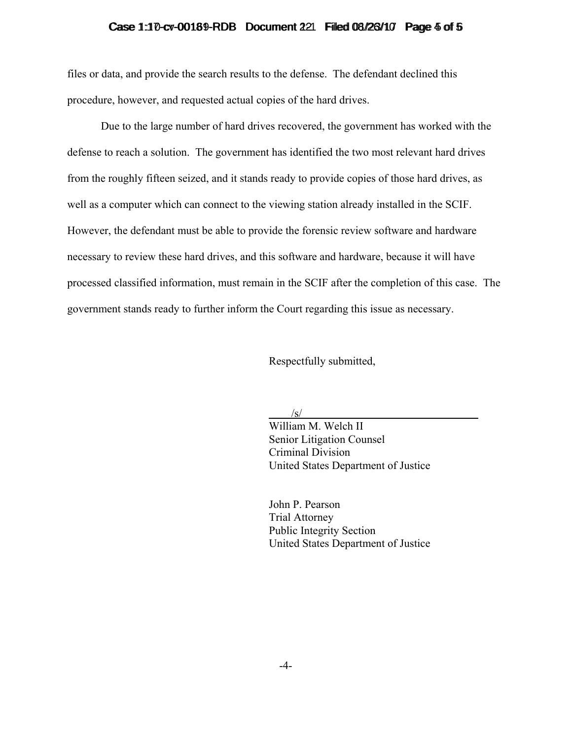# Case  $1:10$ -cv-00189-RDB Document  $221$  Filled 08/26/10 Page  $4$  of  $5$

files or data, and provide the search results to the defense. The defendant declined this procedure, however, and requested actual copies of the hard drives.

Due to the large number of hard drives recovered, the government has worked with the defense to reach a solution. The government has identified the two most relevant hard drives from the roughly fifteen seized, and it stands ready to provide copies of those hard drives, as well as a computer which can connect to the viewing station already installed in the SCIF. However, the defendant must be able to provide the forensic review software and hardware necessary to review these hard drives, and this software and hardware, because it will have processed classified information, must remain in the SCIF after the completion of this case. The government stands ready to further inform the Court regarding this issue as necessary.

Respectfully submitted,

/s/

 William M. Welch II Senior Litigation Counsel Criminal Division United States Department of Justice

 John P. Pearson Trial Attorney Public Integrity Section United States Department of Justice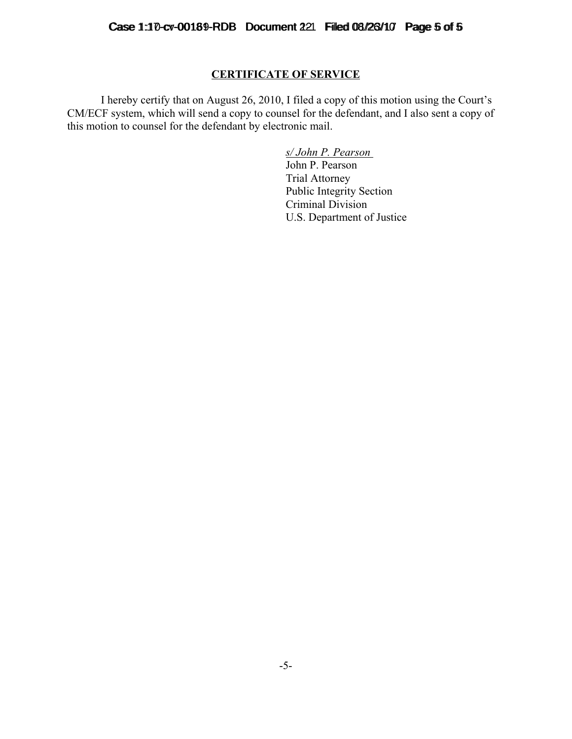# **CERTIFICATE OF SERVICE**

I hereby certify that on August 26, 2010, I filed a copy of this motion using the Court's CM/ECF system, which will send a copy to counsel for the defendant, and I also sent a copy of this motion to counsel for the defendant by electronic mail.

> *s/ John P. Pearson*  John P. Pearson Trial Attorney Public Integrity Section Criminal Division U.S. Department of Justice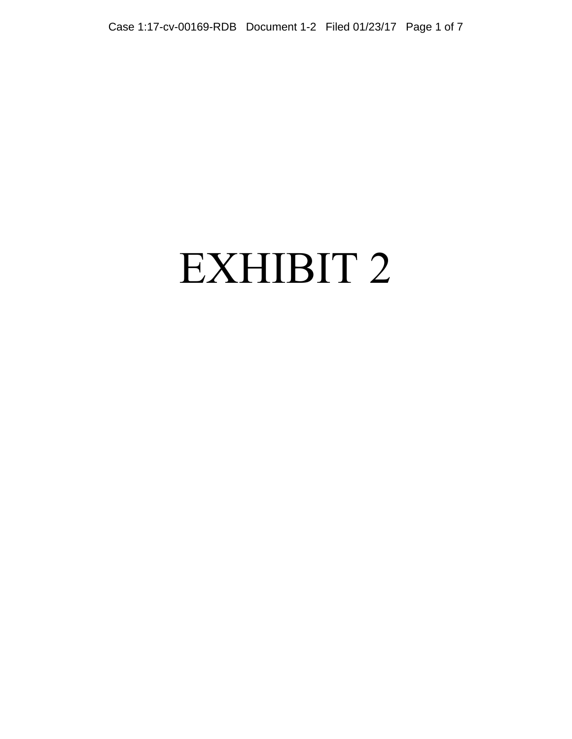# EXHIBIT 2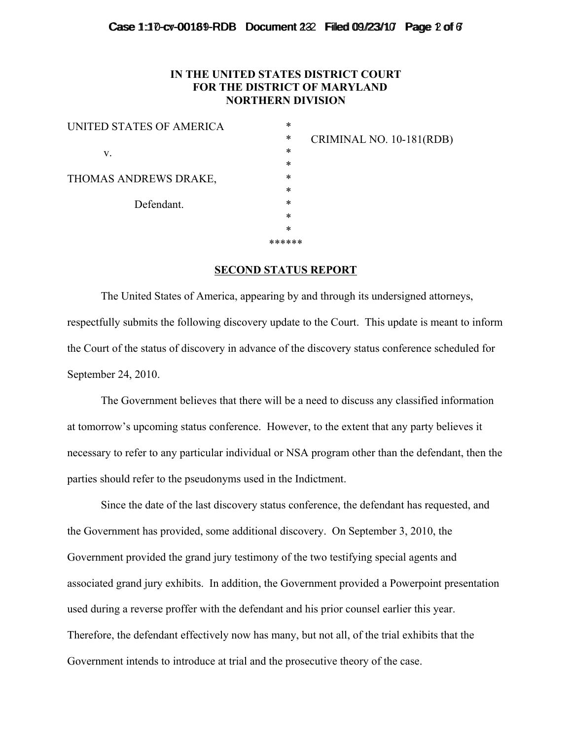## Case  $1:10$ -cv-00189-RDB Document  $2:2$  Filled 09/23/10 Page 2 of 6

# **IN THE UNITED STATES DISTRICT COURT FOR THE DISTRICT OF MARYLAND NORTHERN DIVISION**

| UNITED STATES OF AMERICA | *      |    |
|--------------------------|--------|----|
|                          | *      | IV |
| V.                       | $\ast$ |    |
|                          | $\ast$ |    |
| THOMAS ANDREWS DRAKE,    | *      |    |
|                          | $\ast$ |    |
| Defendant.               | *      |    |
|                          | $\ast$ |    |
|                          | $\ast$ |    |
|                          | ****** |    |
|                          |        |    |

CRIMINAL NO. 10-181(RDB)

## **SECOND STATUS REPORT**

The United States of America, appearing by and through its undersigned attorneys, respectfully submits the following discovery update to the Court. This update is meant to inform the Court of the status of discovery in advance of the discovery status conference scheduled for September 24, 2010.

The Government believes that there will be a need to discuss any classified information at tomorrow's upcoming status conference. However, to the extent that any party believes it necessary to refer to any particular individual or NSA program other than the defendant, then the parties should refer to the pseudonyms used in the Indictment.

Since the date of the last discovery status conference, the defendant has requested, and the Government has provided, some additional discovery. On September 3, 2010, the Government provided the grand jury testimony of the two testifying special agents and associated grand jury exhibits. In addition, the Government provided a Powerpoint presentation used during a reverse proffer with the defendant and his prior counsel earlier this year. Therefore, the defendant effectively now has many, but not all, of the trial exhibits that the Government intends to introduce at trial and the prosecutive theory of the case.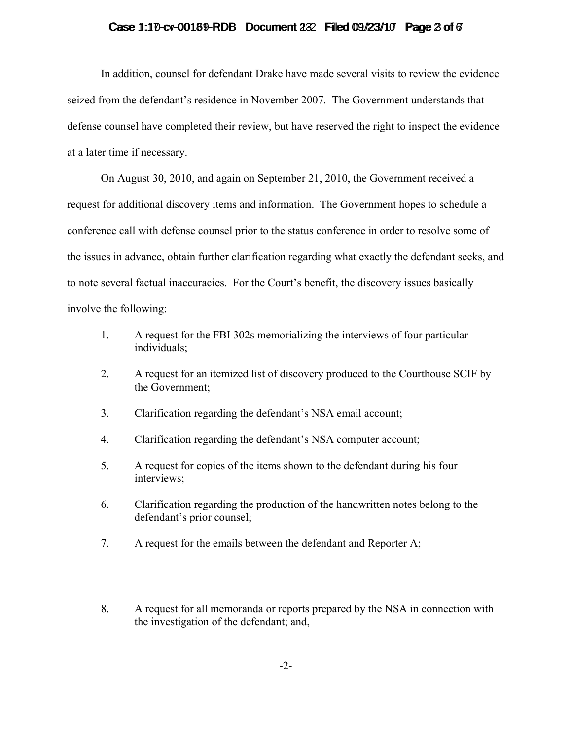# Case  $1:10$ -cv-00189-RDB Document  $2:2$  Filled 09/23/10 Page 2 of 6

In addition, counsel for defendant Drake have made several visits to review the evidence seized from the defendant's residence in November 2007. The Government understands that defense counsel have completed their review, but have reserved the right to inspect the evidence at a later time if necessary.

On August 30, 2010, and again on September 21, 2010, the Government received a request for additional discovery items and information. The Government hopes to schedule a conference call with defense counsel prior to the status conference in order to resolve some of the issues in advance, obtain further clarification regarding what exactly the defendant seeks, and to note several factual inaccuracies. For the Court's benefit, the discovery issues basically involve the following:

- 1. A request for the FBI 302s memorializing the interviews of four particular individuals;
- 2. A request for an itemized list of discovery produced to the Courthouse SCIF by the Government;
- 3. Clarification regarding the defendant's NSA email account;
- 4. Clarification regarding the defendant's NSA computer account;
- 5. A request for copies of the items shown to the defendant during his four interviews;
- 6. Clarification regarding the production of the handwritten notes belong to the defendant's prior counsel;
- 7. A request for the emails between the defendant and Reporter A;
- 8. A request for all memoranda or reports prepared by the NSA in connection with the investigation of the defendant; and,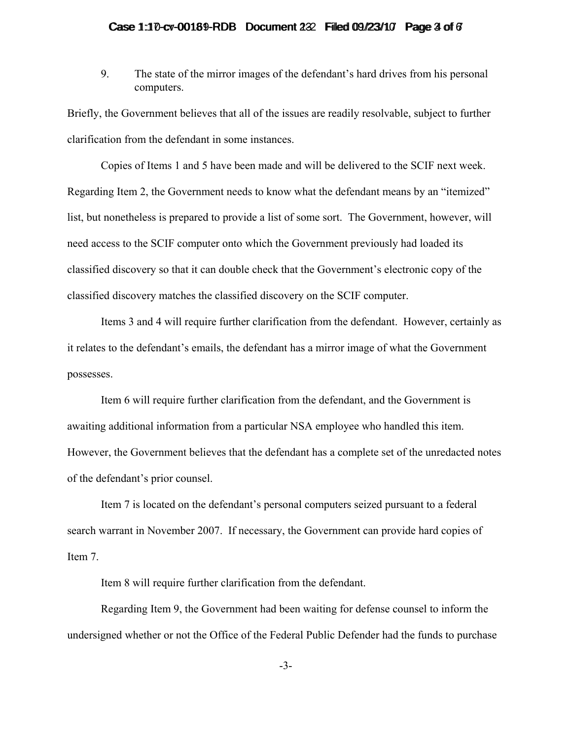## Case  $1:10$ -cv-00189-RDB Document  $2:2$  Filled 09/23/10 Page  $3$  of  $6$

9. The state of the mirror images of the defendant's hard drives from his personal computers.

Briefly, the Government believes that all of the issues are readily resolvable, subject to further clarification from the defendant in some instances.

Copies of Items 1 and 5 have been made and will be delivered to the SCIF next week. Regarding Item 2, the Government needs to know what the defendant means by an "itemized" list, but nonetheless is prepared to provide a list of some sort. The Government, however, will need access to the SCIF computer onto which the Government previously had loaded its classified discovery so that it can double check that the Government's electronic copy of the classified discovery matches the classified discovery on the SCIF computer.

Items 3 and 4 will require further clarification from the defendant. However, certainly as it relates to the defendant's emails, the defendant has a mirror image of what the Government possesses.

Item 6 will require further clarification from the defendant, and the Government is awaiting additional information from a particular NSA employee who handled this item. However, the Government believes that the defendant has a complete set of the unredacted notes of the defendant's prior counsel.

Item 7 is located on the defendant's personal computers seized pursuant to a federal search warrant in November 2007. If necessary, the Government can provide hard copies of Item 7.

Item 8 will require further clarification from the defendant.

Regarding Item 9, the Government had been waiting for defense counsel to inform the undersigned whether or not the Office of the Federal Public Defender had the funds to purchase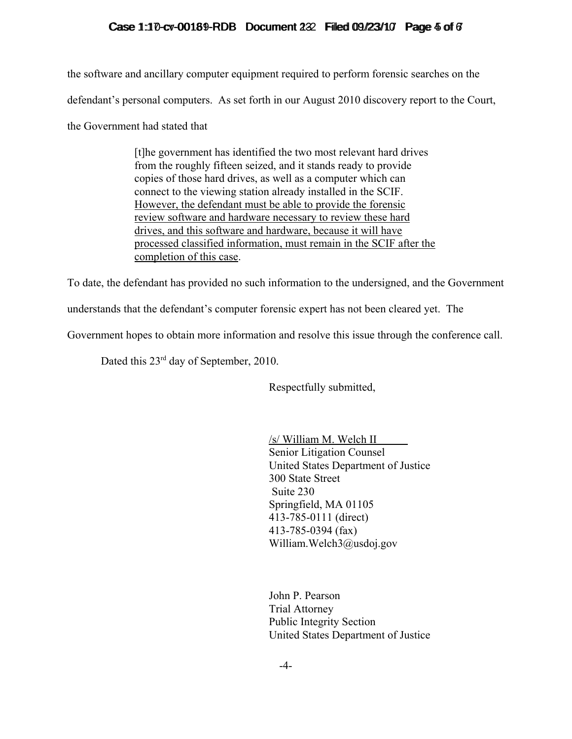# Case  $1:10$ -cv-00189-RDB Document  $2:2$  Filled 09/23/10 Page  $4$  of  $6$

the software and ancillary computer equipment required to perform forensic searches on the defendant's personal computers. As set forth in our August 2010 discovery report to the Court, the Government had stated that

> [t]he government has identified the two most relevant hard drives from the roughly fifteen seized, and it stands ready to provide copies of those hard drives, as well as a computer which can connect to the viewing station already installed in the SCIF. However, the defendant must be able to provide the forensic review software and hardware necessary to review these hard drives, and this software and hardware, because it will have processed classified information, must remain in the SCIF after the completion of this case.

To date, the defendant has provided no such information to the undersigned, and the Government

understands that the defendant's computer forensic expert has not been cleared yet. The

Government hopes to obtain more information and resolve this issue through the conference call.

Dated this 23<sup>rd</sup> day of September, 2010.

Respectfully submitted,

/s/ William M. Welch II Senior Litigation Counsel United States Department of Justice 300 State Street Suite 230 Springfield, MA 01105 413-785-0111 (direct) 413-785-0394 (fax) William.Welch3@usdoj.gov

John P. Pearson Trial Attorney Public Integrity Section United States Department of Justice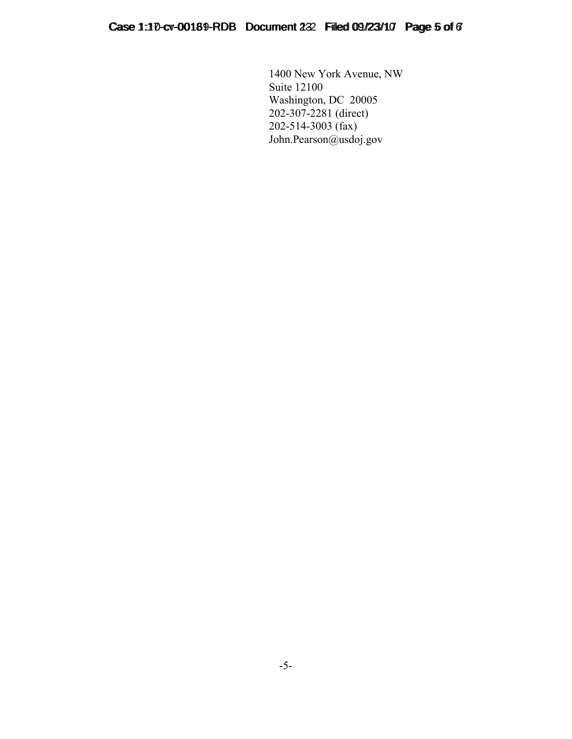1400 New York Avenue, NW Suite 12100 Washington, DC 20005 202-307-2281 (direct) 202-514-3003 (fax) John.Pearson@usdoj.gov